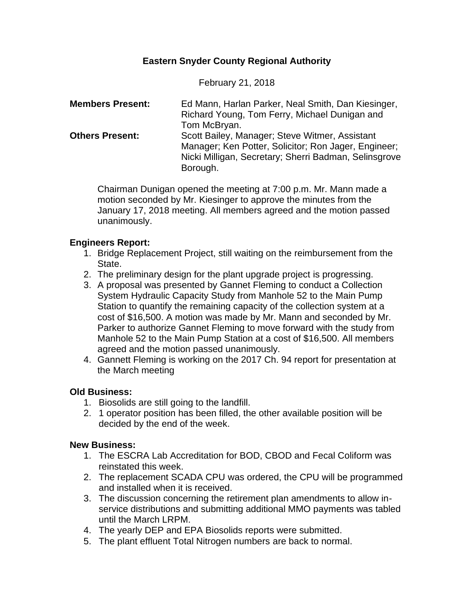# **Eastern Snyder County Regional Authority**

February 21, 2018

| <b>Members Present:</b> | Ed Mann, Harlan Parker, Neal Smith, Dan Kiesinger,    |
|-------------------------|-------------------------------------------------------|
|                         | Richard Young, Tom Ferry, Michael Dunigan and         |
|                         | Tom McBryan.                                          |
| <b>Others Present:</b>  | Scott Bailey, Manager; Steve Witmer, Assistant        |
|                         | Manager; Ken Potter, Solicitor; Ron Jager, Engineer;  |
|                         | Nicki Milligan, Secretary; Sherri Badman, Selinsgrove |
|                         | Borough.                                              |

Chairman Dunigan opened the meeting at 7:00 p.m. Mr. Mann made a motion seconded by Mr. Kiesinger to approve the minutes from the January 17, 2018 meeting. All members agreed and the motion passed unanimously.

## **Engineers Report:**

- 1. Bridge Replacement Project, still waiting on the reimbursement from the State.
- 2. The preliminary design for the plant upgrade project is progressing.
- 3. A proposal was presented by Gannet Fleming to conduct a Collection System Hydraulic Capacity Study from Manhole 52 to the Main Pump Station to quantify the remaining capacity of the collection system at a cost of \$16,500. A motion was made by Mr. Mann and seconded by Mr. Parker to authorize Gannet Fleming to move forward with the study from Manhole 52 to the Main Pump Station at a cost of \$16,500. All members agreed and the motion passed unanimously.
- 4. Gannett Fleming is working on the 2017 Ch. 94 report for presentation at the March meeting

# **Old Business:**

- 1. Biosolids are still going to the landfill.
- 2. 1 operator position has been filled, the other available position will be decided by the end of the week.

### **New Business:**

- 1. The ESCRA Lab Accreditation for BOD, CBOD and Fecal Coliform was reinstated this week.
- 2. The replacement SCADA CPU was ordered, the CPU will be programmed and installed when it is received.
- 3. The discussion concerning the retirement plan amendments to allow inservice distributions and submitting additional MMO payments was tabled until the March LRPM.
- 4. The yearly DEP and EPA Biosolids reports were submitted.
- 5. The plant effluent Total Nitrogen numbers are back to normal.